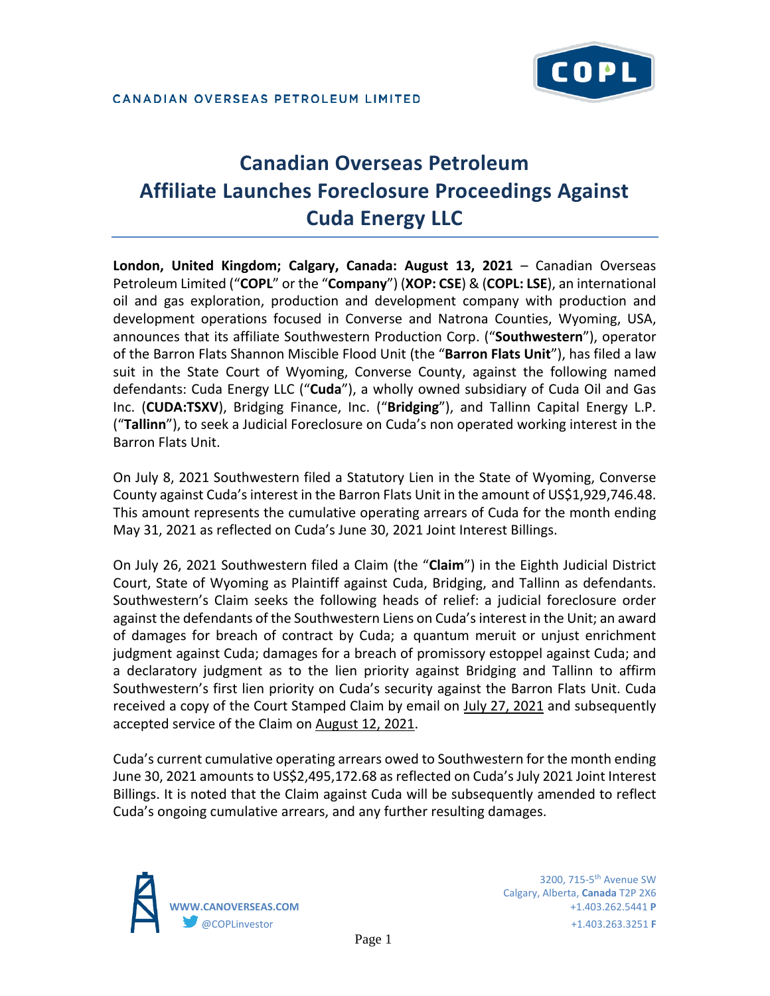# **Canadian Overseas Petroleum Affiliate Launches Foreclosure Proceedings Against Cuda Energy LLC**

**London, United Kingdom; Calgary, Canada: August 13, 2021** – Canadian Overseas Petroleum Limited ("**COPL**" or the "**Company**") (**XOP: CSE**) & (**COPL: LSE**), an international oil and gas exploration, production and development company with production and development operations focused in Converse and Natrona Counties, Wyoming, USA, announces that its affiliate Southwestern Production Corp. ("**Southwestern**"), operator of the Barron Flats Shannon Miscible Flood Unit (the "**Barron Flats Unit**"), has filed a law suit in the State Court of Wyoming, Converse County, against the following named defendants: Cuda Energy LLC ("**Cuda**"), a wholly owned subsidiary of Cuda Oil and Gas Inc. (**CUDA:TSXV**), Bridging Finance, Inc. ("**Bridging**"), and Tallinn Capital Energy L.P. ("**Tallinn**"), to seek a Judicial Foreclosure on Cuda's non operated working interest in the Barron Flats Unit.

On July 8, 2021 Southwestern filed a Statutory Lien in the State of Wyoming, Converse County against Cuda's interest in the Barron Flats Unit in the amount of US\$1,929,746.48. This amount represents the cumulative operating arrears of Cuda for the month ending May 31, 2021 as reflected on Cuda's June 30, 2021 Joint Interest Billings.

On July 26, 2021 Southwestern filed a Claim (the "**Claim**") in the Eighth Judicial District Court, State of Wyoming as Plaintiff against Cuda, Bridging, and Tallinn as defendants. Southwestern's Claim seeks the following heads of relief: a judicial foreclosure order against the defendants of the Southwestern Liens on Cuda's interest in the Unit; an award of damages for breach of contract by Cuda; a quantum meruit or unjust enrichment judgment against Cuda; damages for a breach of promissory estoppel against Cuda; and a declaratory judgment as to the lien priority against Bridging and Tallinn to affirm Southwestern's first lien priority on Cuda's security against the Barron Flats Unit. Cuda received a copy of the Court Stamped Claim by email on July 27, 2021 and subsequently accepted service of the Claim on August 12, 2021.

Cuda's current cumulative operating arrears owed to Southwestern for the month ending June 30, 2021 amounts to US\$2,495,172.68 as reflected on Cuda's July 2021 Joint Interest Billings. It is noted that the Claim against Cuda will be subsequently amended to reflect Cuda's ongoing cumulative arrears, and any further resulting damages.

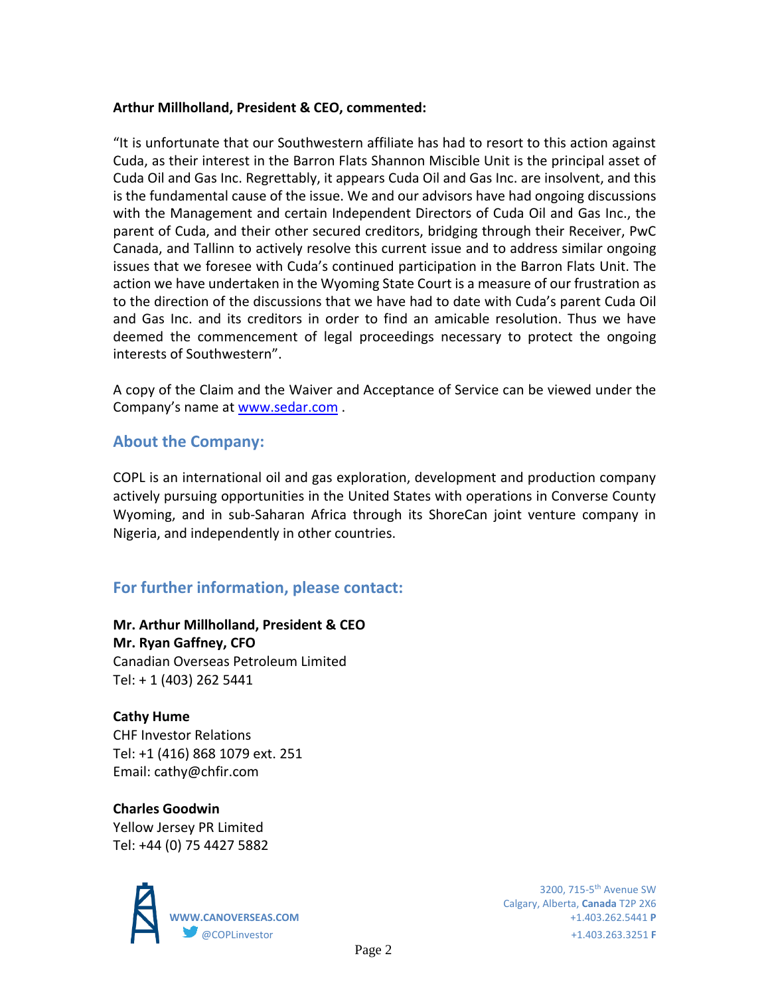#### **Arthur Millholland, President & CEO, commented:**

"It is unfortunate that our Southwestern affiliate has had to resort to this action against Cuda, as their interest in the Barron Flats Shannon Miscible Unit is the principal asset of Cuda Oil and Gas Inc. Regrettably, it appears Cuda Oil and Gas Inc. are insolvent, and this is the fundamental cause of the issue. We and our advisors have had ongoing discussions with the Management and certain Independent Directors of Cuda Oil and Gas Inc., the parent of Cuda, and their other secured creditors, bridging through their Receiver, PwC Canada, and Tallinn to actively resolve this current issue and to address similar ongoing issues that we foresee with Cuda's continued participation in the Barron Flats Unit. The action we have undertaken in the Wyoming State Court is a measure of our frustration as to the direction of the discussions that we have had to date with Cuda's parent Cuda Oil and Gas Inc. and its creditors in order to find an amicable resolution. Thus we have deemed the commencement of legal proceedings necessary to protect the ongoing interests of Southwestern".

A copy of the Claim and the Waiver and Acceptance of Service can be viewed under the Company's name at [www.sedar.com](http://www.sedar.com/) .

## **About the Company:**

COPL is an international oil and gas exploration, development and production company actively pursuing opportunities in the United States with operations in Converse County Wyoming, and in sub-Saharan Africa through its ShoreCan joint venture company in Nigeria, and independently in other countries.

## **For further information, please contact:**

**Mr. Arthur Millholland, President & CEO Mr. Ryan Gaffney, CFO** Canadian Overseas Petroleum Limited Tel: + 1 (403) 262 5441

### **Cathy Hume**

CHF Investor Relations Tel: +1 (416) 868 1079 ext. 251 Email: cathy@chfir.com

## **Charles Goodwin**

Yellow Jersey PR Limited Tel: +44 (0) 75 4427 5882



3200, 715-5<sup>th</sup> Avenue SW Calgary, Alberta, **Canada** T2P 2X6 **WWW.CANOVERSEAS.COM** +1.403.262.5441 **P** @COPLinvestor +1.403.263.3251 **F**